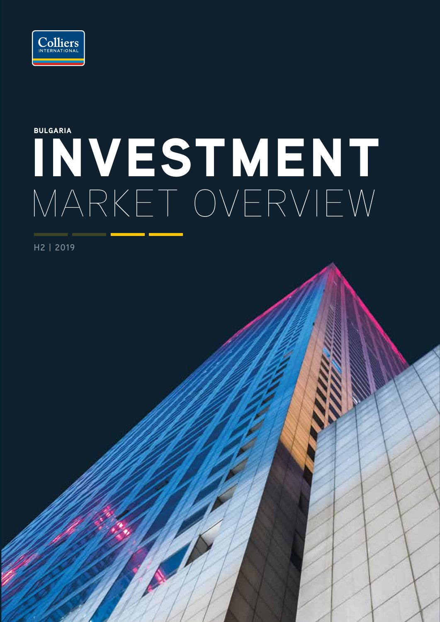

# INVESTMENT MARKET OVERVIEW BULGARIA

**H2 | 2019**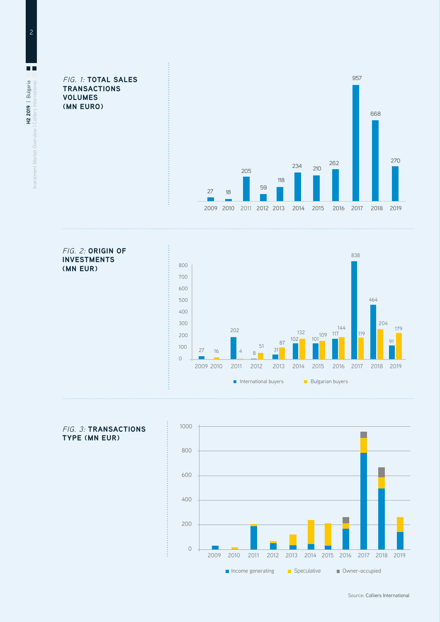FIG. 1: **TOTAL SALES TRANSACTIONS VOLUMES (MN EURO)**



#### FIG. 2: **ORIGIN OF INVESTMENTS (MN EUR)**





### FIG. 3: **TRANSACTIONS TYPE (MN EUR)**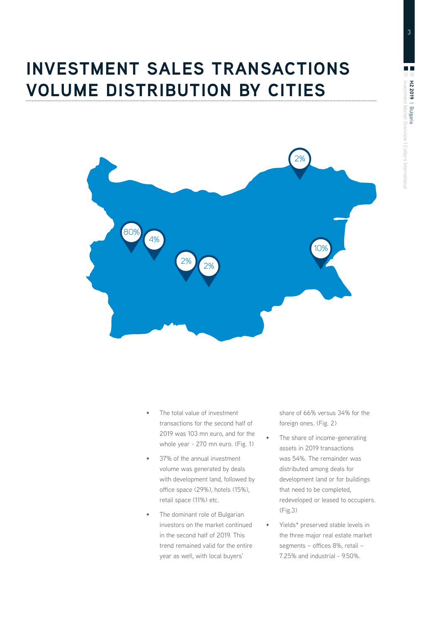## **INVESTMENT SALES TRANSACTIONS VOLUME DISTRIBUTION BY CITIES**



- The total value of investment transactions for the second half of 2019 was 103 mn euro, and for the whole year - 270 mn euro. (Fig. 1)
- 37% of the annual investment volume was generated by deals with development land, followed by office space (29%), hotels (15%), retail space (11%) etc.
- The dominant role of Bulgarian investors on the market continued in the second half of 2019. This trend remained valid for the entire year as well, with local buyers'

share of 66% versus 34% for the foreign ones. (Fig. 2)

- The share of income-generating assets in 2019 transactions was 54%. The remainder was distributed among deals for development land or for buildings that need to be completed, redeveloped or leased to occupiers. (Fig.3)
- Yields\* preserved stable levels in the three major real estate market segments – offices 8%, retail – 7.25% and industrial - 9.50%.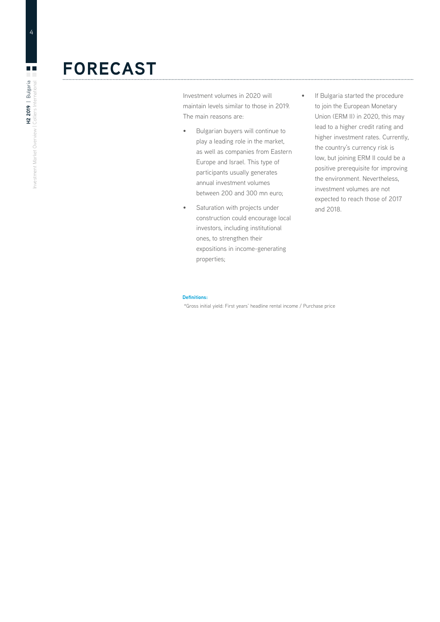### **FORECAST**

Investment volumes in 2020 will maintain levels similar to those in 2019. The main reasons are:

- Bulgarian buyers will continue to play a leading role in the market, as well as companies from Eastern Europe and Israel. This type of participants usually generates annual investment volumes between 200 and 300 mn euro;
- Saturation with projects under construction could encourage local investors, including institutional ones, to strengthen their expositions in income-generating properties;
- If Bulgaria started the procedure to join the European Monetary Union (ERM II) in 2020, this may lead to a higher credit rating and higher investment rates. Currently, the country's currency risk is low, but joining ERM II could be a positive prerequisite for improving the environment. Nevertheless, investment volumes are not expected to reach those of 2017 and 2018.

#### **Definitions:**

\*Gross initial yield: First years' headline rental income / Purchase price